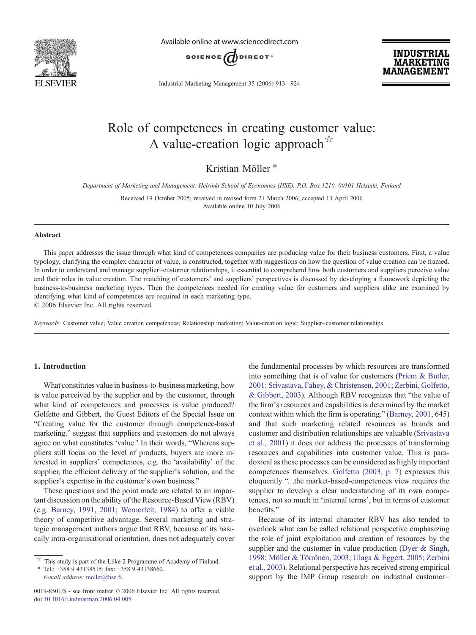

Available online at www.sciencedirect.com



Industrial Marketing Management 35 (2006) 913–924

**INDUSTRIAL MARKETING MANAGEMEN** 

# Role of competences in creating customer value: A value-creation logic approach  $\hat{X}$

Kristian Möller<sup>\*</sup>

Department of Marketing and Management, Helsinki School of Economics (HSE), P.O. Box 1210, 00101 Helsinki, Finland

Received 19 October 2005; received in revised form 21 March 2006; accepted 13 April 2006 Available online 10 July 2006

### Abstract

This paper addresses the issue through what kind of competences companies are producing value for their business customers. First, a value typology, clarifying the complex character of value, is constructed, together with suggestions on how the question of value creation can be framed. In order to understand and manage supplier–customer relationships, it essential to comprehend how both customers and suppliers perceive value and their roles in value creation. The matching of customers' and suppliers' perspectives is discussed by developing a framework depicting the business-to-business marketing types. Then the competences needed for creating value for customers and suppliers alike are examined by identifying what kind of competences are required in each marketing type.

© 2006 Elsevier Inc. All rights reserved.

Keywords: Customer value; Value creation competences; Relationship marketing; Value-creation logic; Supplier–customer relationships

## 1. Introduction

What constitutes value in business-to-business marketing, how is value perceived by the supplier and by the customer, through what kind of competences and processes is value produced? Golfetto and Gibbert, the Guest Editors of the Special Issue on "Creating value for the customer through competence-based marketing." suggest that suppliers and customers do not always agree on what constitutes 'value.' In their words, "Whereas suppliers still focus on the level of products, buyers are more interested in suppliers' competences, e.g. the 'availability' of the supplier, the efficient delivery of the supplier's solution, and the supplier's expertise in the customer's own business."

These questions and the point made are related to an important discussion on the ability of the Resource-Based View (RBV) (e.g. [Barney, 1991, 2001; Wernerfelt, 1984\)](#page--1-0) to offer a viable theory of competitive advantage. Several marketing and strategic management authors argue that RBV, because of its basically intra-organisational orientation, does not adequately cover the fundamental processes by which resources are transformed into something that is of value for customers [\(Priem & Butler,](#page--1-0) [2001; Srivastava, Fahey, & Christensen, 2001; Zerbini, Golfetto,](#page--1-0) [& Gibbert, 2003](#page--1-0)). Although RBV recognizes that "the value of the firm's resources and capabilities is determined by the market context within which the firm is operating." [\(Barney, 2001,](#page--1-0) 645) and that such marketing related resources as brands and customer and distribution relationships are valuable ([Srivastava](#page--1-0) [et al., 2001](#page--1-0)) it does not address the processes of transforming resources and capabilities into customer value. This is paradoxical as these processes can be considered as highly important competences themselves. [Golfetto \(2003, p. 7\)](#page--1-0) expresses this eloquently "…the market-based-competences view requires the supplier to develop a clear understanding of its own competences, not so much in 'internal terms', but in terms of customer benefits."

Because of its internal character RBV has also tended to overlook what can be called relational perspective emphasizing the role of joint exploitation and creation of resources by the supplier and the customer in value production [\(Dyer & Singh,](#page--1-0) [1998; Möller & Törrönen, 2003; Ulaga & Eggert, 2005; Zerbini](#page--1-0) [et al., 2003\)](#page--1-0). Relational perspective has received strong empirical support by the IMP Group research on industrial customer–

 $\overrightarrow{r}$  This study is part of the Liike 2 Programme of Academy of Finland.

<sup>⁎</sup> Tel.: +358 9 43138515; fax: +358 9 43138660. E-mail address: [moller@hse.fi](mailto:moller@hse.fi).

<sup>0019-8501/\$ -</sup> see front matter © 2006 Elsevier Inc. All rights reserved. doi:[10.1016/j.indmarman.2006.04.005](http://dx.doi.org/10.1016/j.indmarman.2006.04.005)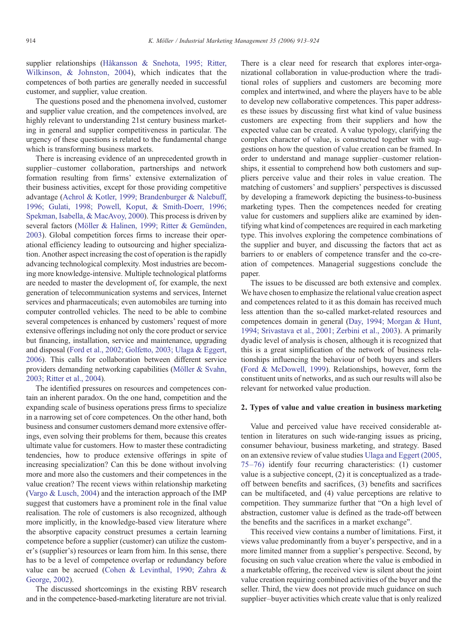supplier relationships ([Håkansson & Snehota, 1995; Ritter,](#page--1-0) [Wilkinson, & Johnston, 2004\)](#page--1-0), which indicates that the competences of both parties are generally needed in successful customer, and supplier, value creation.

The questions posed and the phenomena involved, customer and supplier value creation, and the competences involved, are highly relevant to understanding 21st century business marketing in general and supplier competitiveness in particular. The urgency of these questions is related to the fundamental change which is transforming business markets.

There is increasing evidence of an unprecedented growth in supplier–customer collaboration, partnerships and network formation resulting from firms' extensive externalization of their business activities, except for those providing competitive advantage ([Achrol & Kotler, 1999; Brandenburger & Nalebuff,](#page--1-0) [1996; Gulati, 1998; Powell, Koput, & Smith-Doerr, 1996;](#page--1-0) [Spekman, Isabella, & MacAvoy, 2000](#page--1-0)). This process is driven by several factors ([Möller & Halinen, 1999; Ritter & Gemünden,](#page--1-0) [2003](#page--1-0)). Global competition forces firms to increase their operational efficiency leading to outsourcing and higher specialization. Another aspect increasing the cost of operation is the rapidly advancing technological complexity. Most industries are becoming more knowledge-intensive. Multiple technological platforms are needed to master the development of, for example, the next generation of telecommunication systems and services, Internet services and pharmaceuticals; even automobiles are turning into computer controlled vehicles. The need to be able to combine several competences is enhanced by customers' request of more extensive offerings including not only the core product or service but financing, installation, service and maintenance, upgrading and disposal [\(Ford et al., 2002; Golfetto, 2003; Ulaga & Eggert,](#page--1-0) [2006](#page--1-0)). This calls for collaboration between different service providers demanding networking capabilities ([Möller & Svahn,](#page--1-0) [2003; Ritter et al., 2004\)](#page--1-0).

The identified pressures on resources and competences contain an inherent paradox. On the one hand, competition and the expanding scale of business operations press firms to specialize in a narrowing set of core competences. On the other hand, both business and consumer customers demand more extensive offerings, even solving their problems for them, because this creates ultimate value for customers. How to master these contradicting tendencies, how to produce extensive offerings in spite of increasing specialization? Can this be done without involving more and more also the customers and their competences in the value creation? The recent views within relationship marketing ([Vargo & Lusch, 2004](#page--1-0)) and the interaction approach of the IMP suggest that customers have a prominent role in the final value realisation. The role of customers is also recognized, although more implicitly, in the knowledge-based view literature where the absorptive capacity construct presumes a certain learning competence before a supplier (customer) can utilize the customer's (supplier's) resources or learn from him. In this sense, there has to be a level of competence overlap or redundancy before value can be accrued [\(Cohen & Levinthal, 1990; Zahra &](#page--1-0) [George, 2002\)](#page--1-0).

The discussed shortcomings in the existing RBV research and in the competence-based-marketing literature are not trivial.

There is a clear need for research that explores inter-organizational collaboration in value-production where the traditional roles of suppliers and customers are becoming more complex and intertwined, and where the players have to be able to develop new collaborative competences. This paper addresses these issues by discussing first what kind of value business customers are expecting from their suppliers and how the expected value can be created. A value typology, clarifying the complex character of value, is constructed together with suggestions on how the question of value creation can be framed. In order to understand and manage supplier–customer relationships, it essential to comprehend how both customers and suppliers perceive value and their roles in value creation. The matching of customers' and suppliers' perspectives is discussed by developing a framework depicting the business-to-business marketing types. Then the competences needed for creating value for customers and suppliers alike are examined by identifying what kind of competences are required in each marketing type. This involves exploring the competence combinations of the supplier and buyer, and discussing the factors that act as barriers to or enablers of competence transfer and the co-creation of competences. Managerial suggestions conclude the paper.

The issues to be discussed are both extensive and complex. We have chosen to emphasize the relational value creation aspect and competences related to it as this domain has received much less attention than the so-called market-related resources and competences domain in general [\(Day, 1994; Morgan & Hunt,](#page--1-0) [1994; Srivastava et al., 2001; Zerbini et al., 2003\)](#page--1-0). A primarily dyadic level of analysis is chosen, although it is recognized that this is a great simplification of the network of business relationships influencing the behaviour of both buyers and sellers ([Ford & McDowell, 1999\)](#page--1-0). Relationships, however, form the constituent units of networks, and as such our results will also be relevant for networked value production.

### 2. Types of value and value creation in business marketing

Value and perceived value have received considerable attention in literatures on such wide-ranging issues as pricing, consumer behaviour, business marketing, and strategy. Based on an extensive review of value studies [Ulaga and Eggert \(2005,](#page--1-0) 75–[76\)](#page--1-0) identify four recurring characteristics: (1) customer value is a subjective concept, (2) it is conceptualized as a tradeoff between benefits and sacrifices, (3) benefits and sacrifices can be multifaceted, and (4) value perceptions are relative to competition. They summarize further that "On a high level of abstraction, customer value is defined as the trade-off between the benefits and the sacrifices in a market exchange".

This received view contains a number of limitations. First, it views value predominantly from a buyer's perspective, and in a more limited manner from a supplier's perspective. Second, by focusing on such value creation where the value is embodied in a marketable offering, the received view is silent about the joint value creation requiring combined activities of the buyer and the seller. Third, the view does not provide much guidance on such supplier–buyer activities which create value that is only realized